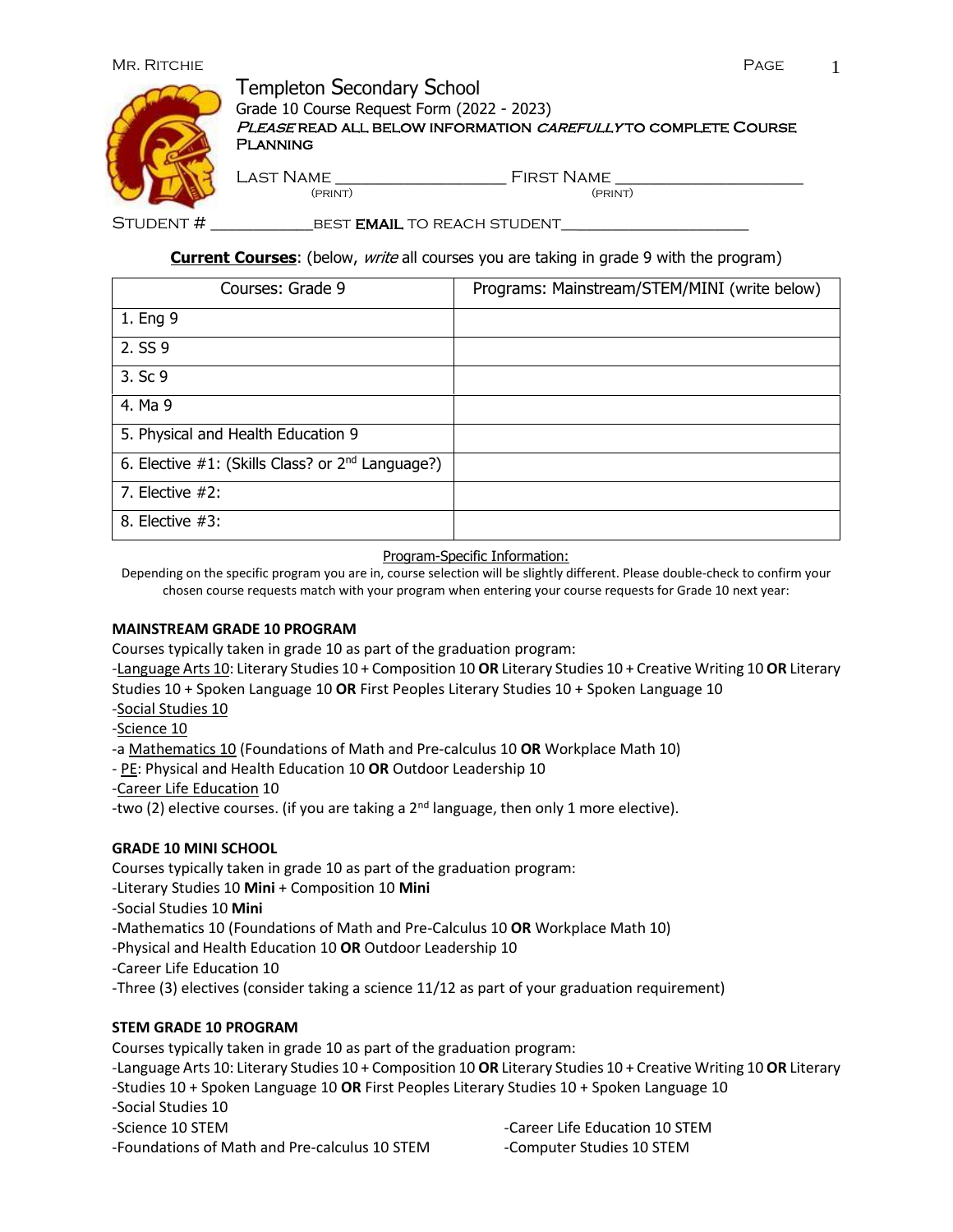## Mr. Ritchie Page 1



# Templeton Secondary School

Grade 10 Course Request Form (2022 - 2023)

PLEASE READ ALL BELOW INFORMATION CAREFULLY TO COMPLETE COURSE **PLANNING** 

Last Name \_\_\_\_\_\_\_\_\_\_\_\_\_\_\_\_\_\_\_\_ First Name \_\_\_\_\_\_\_\_\_\_\_\_\_\_\_\_\_\_\_\_\_\_

(print) (print)

Student # \_\_\_\_\_\_\_\_\_\_\_\_best email to reach student\_\_\_\_\_\_\_\_\_\_\_\_\_\_\_\_\_\_\_\_\_\_

**Current Courses**: (below, write all courses you are taking in grade 9 with the program)

| Courses: Grade 9                                             | Programs: Mainstream/STEM/MINI (write below) |
|--------------------------------------------------------------|----------------------------------------------|
| 1. Eng 9                                                     |                                              |
| 2. SS 9                                                      |                                              |
| 3. Sc 9                                                      |                                              |
| 4. Ma 9                                                      |                                              |
| 5. Physical and Health Education 9                           |                                              |
| 6. Elective #1: (Skills Class? or 2 <sup>nd</sup> Language?) |                                              |
| 7. Elective $#2$ :                                           |                                              |
| 8. Elective $#3$ :                                           |                                              |

Program-Specific Information:

Depending on the specific program you are in, course selection will be slightly different. Please double-check to confirm your chosen course requests match with your program when entering your course requests for Grade 10 next year:

#### **MAINSTREAM GRADE 10 PROGRAM**

Courses typically taken in grade 10 as part of the graduation program:

-Language Arts 10: Literary Studies 10 + Composition 10 **OR** Literary Studies 10 + Creative Writing 10 **OR** Literary Studies 10 + Spoken Language 10 **OR** First Peoples Literary Studies 10 + Spoken Language 10

-Social Studies 10

-Science 10

-a Mathematics 10 (Foundations of Math and Pre-calculus 10 **OR** Workplace Math 10)

- PE: Physical and Health Education 10 **OR** Outdoor Leadership 10

-Career Life Education 10

-two (2) elective courses. (if you are taking a  $2^{nd}$  language, then only 1 more elective).

#### **GRADE 10 MINI SCHOOL**

Courses typically taken in grade 10 as part of the graduation program:

-Literary Studies 10 **Mini** + Composition 10 **Mini**

- -Social Studies 10 **Mini**
- -Mathematics 10 (Foundations of Math and Pre-Calculus 10 **OR** Workplace Math 10)
- -Physical and Health Education 10 **OR** Outdoor Leadership 10
- -Career Life Education 10
- -Three (3) electives (consider taking a science 11/12 as part of your graduation requirement)

#### **STEM GRADE 10 PROGRAM**

Courses typically taken in grade 10 as part of the graduation program:

- -Language Arts 10: Literary Studies 10 + Composition 10 **OR** Literary Studies 10 + Creative Writing 10 **OR** Literary
- -Studies 10 + Spoken Language 10 **OR** First Peoples Literary Studies 10 + Spoken Language 10
- -Social Studies 10
- -Science 10 STEM
- -Foundations of Math and Pre-calculus 10 STEM

-Career Life Education 10 STEM -Computer Studies 10 STEM